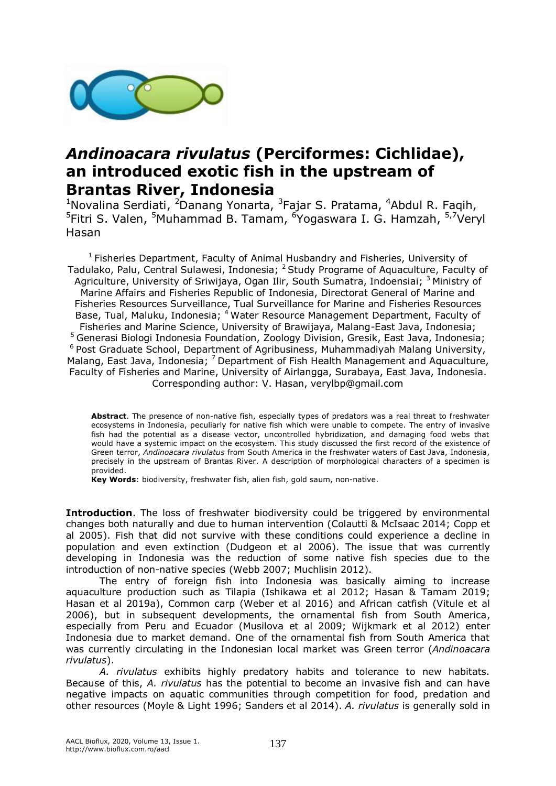

## *Andinoacara rivulatus* **(Perciformes: Cichlidae), an introduced exotic fish in the upstream of Brantas River, Indonesia**

<sup>1</sup>Novalina Serdiati, <sup>2</sup>Danang Yonarta, <sup>3</sup>Fajar S. Pratama, <sup>4</sup>Abdul R. Faqih, <sup>5</sup>Fitri S. Valen, <sup>5</sup>Muhammad B. Tamam, <sup>6</sup>Yogaswara I. G. Hamzah, <sup>5,7</sup>Veryl Hasan

<sup>1</sup> Fisheries Department, Faculty of Animal Husbandry and Fisheries, University of Tadulako, Palu, Central Sulawesi, Indonesia; <sup>2</sup> Study Programe of Aquaculture, Faculty of Agriculture, University of Sriwijaya, Ogan Ilir, South Sumatra, Indoensiai; <sup>3</sup> Ministry of Marine Affairs and Fisheries Republic of Indonesia, Directorat General of Marine and Fisheries Resources Surveillance, Tual Surveillance for Marine and Fisheries Resources Base, Tual, Maluku, Indonesia; <sup>4</sup> Water Resource Management Department, Faculty of Fisheries and Marine Science, University of Brawijaya, Malang-East Java, Indonesia; <sup>5</sup> Generasi Biologi Indonesia Foundation, Zoology Division, Gresik, East Java, Indonesia; <sup>6</sup> Post Graduate School, Department of Agribusiness, Muhammadiyah Malang University, Malang, East Java, Indonesia; <sup>7</sup> Department of Fish Health Management and Aquaculture, Faculty of Fisheries and Marine, University of Airlangga, Surabaya, East Java, Indonesia. Corresponding author: V. Hasan, verylbp@gmail.com

**Abstract**. The presence of non-native fish, especially types of predators was a real threat to freshwater ecosystems in Indonesia, peculiarly for native fish which were unable to compete. The entry of invasive fish had the potential as a disease vector, uncontrolled hybridization, and damaging food webs that would have a systemic impact on the ecosystem. This study discussed the first record of the existence of Green terror, *Andinoacara rivulatus* from South America in the freshwater waters of East Java, Indonesia, precisely in the upstream of Brantas River. A description of morphological characters of a specimen is provided.

**Key Words**: biodiversity, freshwater fish, alien fish, gold saum, non-native.

**Introduction**. The loss of freshwater biodiversity could be triggered by environmental changes both naturally and due to human intervention (Colautti & McIsaac 2014; Copp et al 2005). Fish that did not survive with these conditions could experience a decline in population and even extinction (Dudgeon et al 2006). The issue that was currently developing in Indonesia was the reduction of some native fish species due to the introduction of non-native species (Webb 2007; Muchlisin 2012).

The entry of foreign fish into Indonesia was basically aiming to increase aquaculture production such as Tilapia (Ishikawa et al 2012; Hasan & Tamam 2019; Hasan et al 2019a), Common carp (Weber et al 2016) and African catfish (Vitule et al 2006), but in subsequent developments, the ornamental fish from South America, especially from Peru and Ecuador (Musilova et al 2009; Wijkmark et al 2012) enter Indonesia due to market demand. One of the ornamental fish from South America that was currently circulating in the Indonesian local market was Green terror (*Andinoacara rivulatus*).

*A. rivulatus* exhibits highly predatory habits and tolerance to new habitats. Because of this, *A. rivulatus* has the potential to become an invasive fish and can have negative impacts on aquatic communities through competition for food, predation and other resources (Moyle & Light 1996; Sanders et al 2014). *A. rivulatus* is generally sold in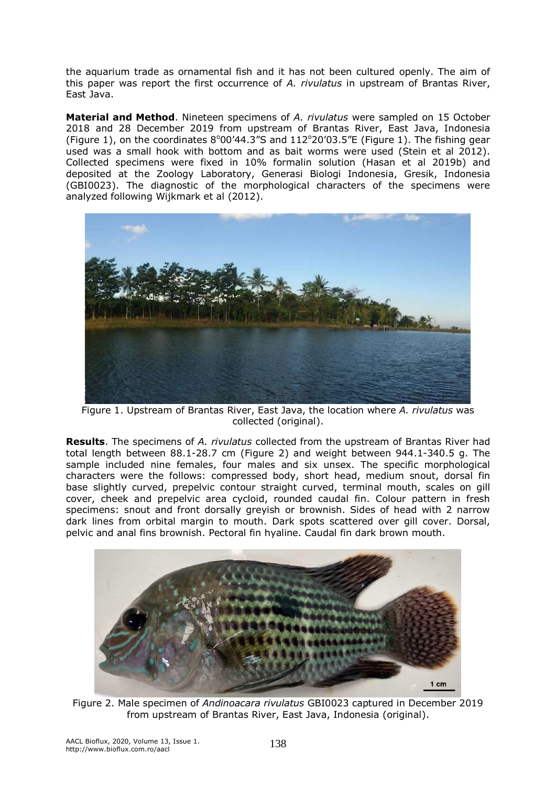the aquarium trade as ornamental fish and it has not been cultured openly. The aim of this paper was report the first occurrence of *A. rivulatus* in upstream of Brantas River, East Java.

**Material and Method**. Nineteen specimens of *A. rivulatus* were sampled on 15 October 2018 and 28 December 2019 from upstream of Brantas River, East Java, Indonesia (Figure 1), on the coordinates  $8^{\circ}00'44.3''S$  and  $112^{\circ}20'03.5''E$  (Figure 1). The fishing gear used was a small hook with bottom and as bait worms were used (Stein et al 2012). Collected specimens were fixed in 10% formalin solution (Hasan et al 2019b) and deposited at the Zoology Laboratory, Generasi Biologi Indonesia, Gresik, Indonesia (GBI0023). The diagnostic of the morphological characters of the specimens were analyzed following Wijkmark et al (2012).



Figure 1. Upstream of Brantas River, East Java, the location where *A. rivulatus* was collected (original).

**Results**. The specimens of *A. rivulatus* collected from the upstream of Brantas River had total length between 88.1-28.7 cm (Figure 2) and weight between 944.1-340.5 g. The sample included nine females, four males and six unsex. The specific morphological characters were the follows: compressed body, short head, medium snout, dorsal fin base slightly curved, prepelvic contour straight curved, terminal mouth, scales on gill cover, cheek and prepelvic area cycloid, rounded caudal fin. Colour pattern in fresh specimens: snout and front dorsally greyish or brownish. Sides of head with 2 narrow dark lines from orbital margin to mouth. Dark spots scattered over gill cover. Dorsal, pelvic and anal fins brownish. Pectoral fin hyaline. Caudal fin dark brown mouth.



Figure 2. Male specimen of *Andinoacara rivulatus* GBI0023 captured in December 2019 from upstream of Brantas River, East Java, Indonesia (original).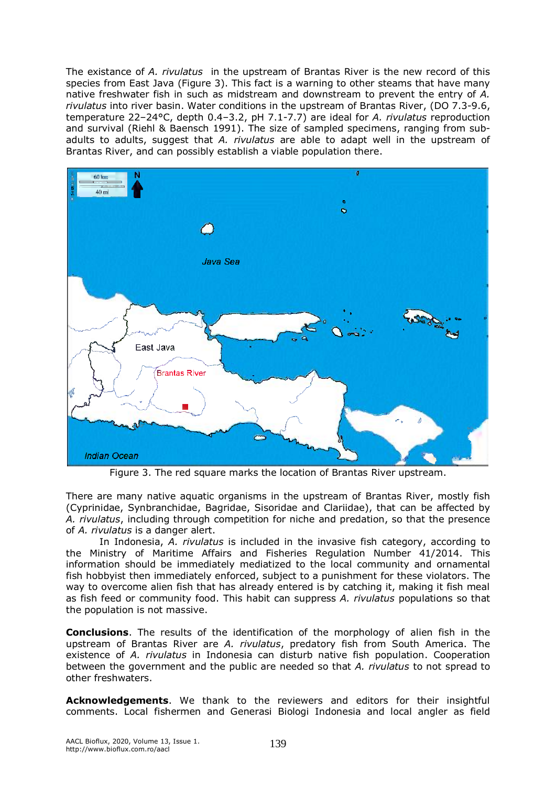The existance of *A. rivulatus* in the upstream of Brantas River is the new record of this species from East Java (Figure 3). This fact is a warning to other steams that have many native freshwater fish in such as midstream and downstream to prevent the entry of *A. rivulatus* into river basin. Water conditions in the upstream of Brantas River, (DO 7.3-9.6, temperature 22–24°C, depth 0.4–3.2, pH 7.1-7.7) are ideal for *A. rivulatus* reproduction and survival (Riehl & Baensch 1991). The size of sampled specimens, ranging from subadults to adults, suggest that *A. rivulatus* are able to adapt well in the upstream of Brantas River, and can possibly establish a viable population there.



Figure 3. The red square marks the location of Brantas River upstream.

There are many native aquatic organisms in the upstream of Brantas River, mostly fish (Cyprinidae, Synbranchidae, Bagridae, Sisoridae and Clariidae), that can be affected by *A. rivulatus*, including through competition for niche and predation, so that the presence of *A. rivulatus* is a danger alert.

In Indonesia, *A. rivulatus* is included in the invasive fish category, according to the Ministry of Maritime Affairs and Fisheries Regulation Number 41/2014. This information should be immediately mediatized to the local community and ornamental fish hobbyist then immediately enforced, subject to a punishment for these violators. The way to overcome alien fish that has already entered is by catching it, making it fish meal as fish feed or community food. This habit can suppress *A. rivulatus* populations so that the population is not massive.

**Conclusions**. The results of the identification of the morphology of alien fish in the upstream of Brantas River are *A. rivulatus*, predatory fish from South America. The existence of *A. rivulatus* in Indonesia can disturb native fish population. Cooperation between the government and the public are needed so that *A. rivulatus* to not spread to other freshwaters.

**Acknowledgements**. We thank to the reviewers and editors for their insightful comments. Local fishermen and Generasi Biologi Indonesia and local angler as field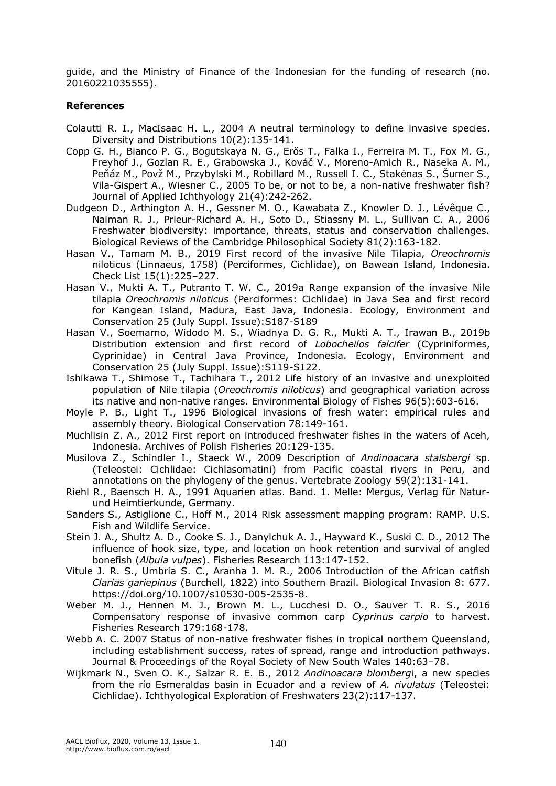guide, and the Ministry of Finance of the Indonesian for the funding of research (no. 20160221035555).

## **References**

- Colautti R. I., MacIsaac H. L., 2004 A neutral terminology to define invasive species. Diversity and Distributions 10(2):135-141.
- Copp G. H., Bianco P. G., Bogutskaya N. G., Erős T., Falka I., Ferreira M. T., Fox M. G., Freyhof J., Gozlan R. E., Grabowska J., Kováč V., Moreno-Amich R., Naseka A. M., Peňáz M., Povž M., Przybylski M., Robillard M., Russell I. C., Stakėnas S., Šumer S., Vila-Gispert A., Wiesner C., 2005 To be, or not to be, a non-native freshwater fish? Journal of Applied Ichthyology 21(4):242-262.
- [Dudgeon D.](https://www.ncbi.nlm.nih.gov/pubmed/?term=Dudgeon%20D%5BAuthor%5D&cauthor=true&cauthor_uid=16336747), [Arthington A. H.](https://www.ncbi.nlm.nih.gov/pubmed/?term=Arthington%20AH%5BAuthor%5D&cauthor=true&cauthor_uid=16336747), [Gessner M. O.](https://www.ncbi.nlm.nih.gov/pubmed/?term=Gessner%20MO%5BAuthor%5D&cauthor=true&cauthor_uid=16336747), [Kawabata Z.](https://www.ncbi.nlm.nih.gov/pubmed/?term=Kawabata%20Z%5BAuthor%5D&cauthor=true&cauthor_uid=16336747), [Knowler D. J.](https://www.ncbi.nlm.nih.gov/pubmed/?term=Knowler%20DJ%5BAuthor%5D&cauthor=true&cauthor_uid=16336747), [Lévêque C.](https://www.ncbi.nlm.nih.gov/pubmed/?term=L%C3%A9v%C3%AAque%20C%5BAuthor%5D&cauthor=true&cauthor_uid=16336747), [Naiman R. J.](https://www.ncbi.nlm.nih.gov/pubmed/?term=Naiman%20RJ%5BAuthor%5D&cauthor=true&cauthor_uid=16336747), [Prieur-Richard A. H.](https://www.ncbi.nlm.nih.gov/pubmed/?term=Prieur-Richard%20AH%5BAuthor%5D&cauthor=true&cauthor_uid=16336747), [Soto D.](https://www.ncbi.nlm.nih.gov/pubmed/?term=Soto%20D%5BAuthor%5D&cauthor=true&cauthor_uid=16336747), [Stiassny M. L.](https://www.ncbi.nlm.nih.gov/pubmed/?term=Stiassny%20ML%5BAuthor%5D&cauthor=true&cauthor_uid=16336747), [Sullivan C. A.](https://www.ncbi.nlm.nih.gov/pubmed/?term=Sullivan%20CA%5BAuthor%5D&cauthor=true&cauthor_uid=16336747), 2006 Freshwater biodiversity: importance, threats, status and conservation challenges. Biological Reviews of the Cambridge Philosophical Society 81(2):163-182.
- Hasan V., Tamam M. B., 2019 First record of the invasive Nile Tilapia, *Oreochromis*  niloticus (Linnaeus, 1758) (Perciformes, Cichlidae), on Bawean Island, Indonesia. Check List 15(1):225–227.
- Hasan V., Mukti A. T., Putranto T. W. C., 2019a Range expansion of the invasive Nile tilapia *Oreochromis niloticus* (Perciformes: Cichlidae) in Java Sea and first record for Kangean Island, Madura, East Java, Indonesia. Ecology, Environment and Conservation 25 (July Suppl. Issue):S187-S189
- Hasan V., Soemarno, Widodo M. S., Wiadnya D. G. R., Mukti A. T., Irawan B., 2019b Distribution extension and first record of *Lobocheilos falcifer* (Cypriniformes, Cyprinidae) in Central Java Province, Indonesia. Ecology, Environment and Conservation 25 (July Suppl. Issue):S119-S122.
- Ishikawa T., Shimose T., Tachihara T., 2012 Life history of an invasive and unexploited population of Nile tilapia (*Oreochromis niloticus*) and geographical variation across its native and non-native ranges. Environmental Biology of Fishes 96(5):603-616.
- Moyle P. B., Light T., 1996 Biological invasions of fresh water: empirical rules and assembly theory. Biological Conservation 78:149-161.
- Muchlisin Z. A., 2012 First report on introduced freshwater fishes in the waters of Aceh, Indonesia. Archives of Polish Fisheries 20:129-135.
- Musilova Z., Schindler I., Staeck W., 2009 Description of *Andinoacara stalsbergi* sp. (Teleostei: Cichlidae: Cichlasomatini) from Pacific coastal rivers in Peru, and annotations on the phylogeny of the genus. Vertebrate Zoology 59(2):131-141.
- Riehl R., Baensch H. A., 1991 Aquarien atlas. Band. 1. Melle: Mergus, Verlag für Naturund Heimtierkunde, Germany.
- Sanders S., Astiglione C., Hoff M., 2014 Risk assessment mapping program: RAMP. U.S. Fish and Wildlife Service.
- Stein J. A., Shultz A. D., Cooke S. J., Danylchuk A. J., Hayward K., Suski C. D., 2012 The influence of hook size, type, and location on hook retention and survival of angled bonefish (*Albula vulpes*). Fisheries Research 113:147-152.
- Vitule J. R. S., Umbria S. C., Aranha J. M. R., 2006 Introduction of the African catfish *Clarias gariepinus* (Burchell, 1822) into Southern Brazil. Biological Invasion 8: 677. https://doi.org/10.1007/s10530-005-2535-8.
- Weber M. J., Hennen M. J., Brown M. L., Lucchesi D. O., Sauver T. R. S., 2016 Compensatory response of invasive common carp *Cyprinus carpio* to harvest. Fisheries Research 179:168-178.
- Webb A. C. 2007 Status of non-native freshwater fishes in tropical northern Oueensland, including establishment success, rates of spread, range and introduction pathways. Journal & Proceedings of the Royal Society of New South Wales 140:63–78.
- Wijkmark N., Sven O. K., Salzar R. E. B., 2012 *Andinoacara blomberg*i, a new species from the río Esmeraldas basin in Ecuador and a review of *A. rivulatus* (Teleostei: Cichlidae). Ichthyological Exploration of Freshwaters 23(2):117-137.